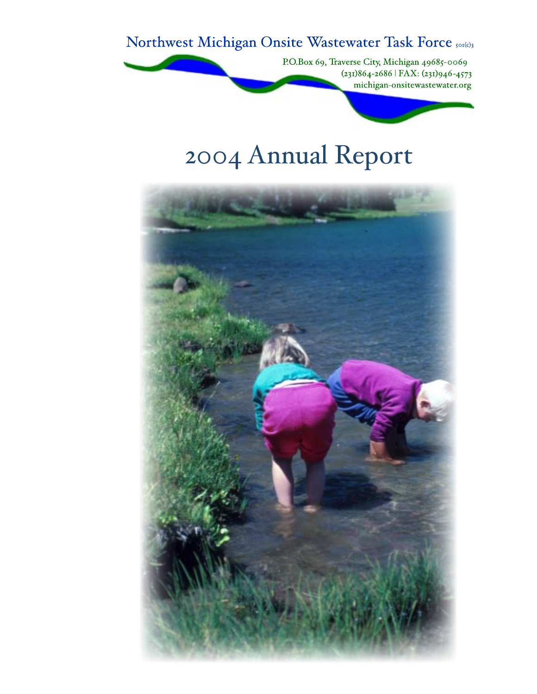Northwest Michigan Onsite Wastewater Task Force 501(c)3

P.O.Box 69, Traverse City, Michigan 49685-0069  $(231)864 - 2686$  | FAX:  $(231)946 - 4573$ michigan-onsitewastewater.org

# 2004 Annual Report

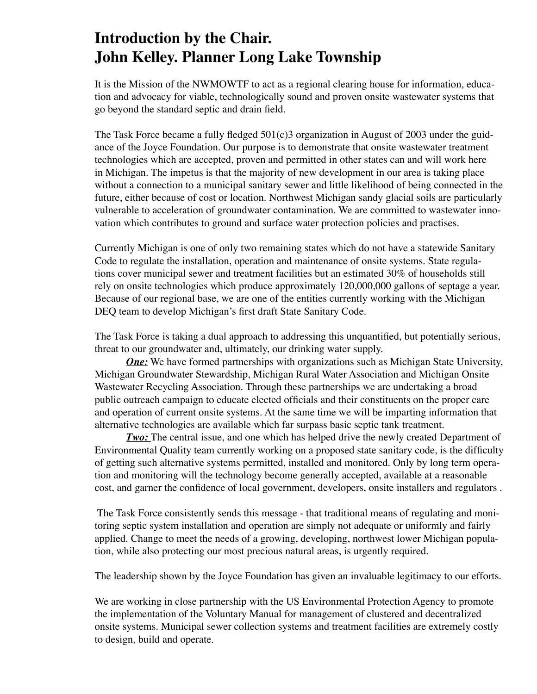# **Introduction by the Chair. John Kelley. Planner Long Lake Township**

It is the Mission of the NWMOWTF to act as a regional clearing house for information, education and advocacy for viable, technologically sound and proven onsite wastewater systems that go beyond the standard septic and drain field.

The Task Force became a fully fledged 501(c)3 organization in August of 2003 under the guidance of the Joyce Foundation. Our purpose is to demonstrate that onsite wastewater treatment technologies which are accepted, proven and permitted in other states can and will work here in Michigan. The impetus is that the majority of new development in our area is taking place without a connection to a municipal sanitary sewer and little likelihood of being connected in the future, either because of cost or location. Northwest Michigan sandy glacial soils are particularly vulnerable to acceleration of groundwater contamination. We are committed to wastewater innovation which contributes to ground and surface water protection policies and practises.

Currently Michigan is one of only two remaining states which do not have a statewide Sanitary Code to regulate the installation, operation and maintenance of onsite systems. State regulations cover municipal sewer and treatment facilities but an estimated 30% of households still rely on onsite technologies which produce approximately 120,000,000 gallons of septage a year. Because of our regional base, we are one of the entities currently working with the Michigan DEQ team to develop Michigan's first draft State Sanitary Code.

The Task Force is taking a dual approach to addressing this unquantified, but potentially serious, threat to our groundwater and, ultimately, our drinking water supply.

*One:* We have formed partnerships with organizations such as Michigan State University, Michigan Groundwater Stewardship, Michigan Rural Water Association and Michigan Onsite Wastewater Recycling Association. Through these partnerships we are undertaking a broad public outreach campaign to educate elected officials and their constituents on the proper care and operation of current onsite systems. At the same time we will be imparting information that alternative technologies are available which far surpass basic septic tank treatment.

*Two:* The central issue, and one which has helped drive the newly created Department of Environmental Quality team currently working on a proposed state sanitary code, is the difficulty of getting such alternative systems permitted, installed and monitored. Only by long term operation and monitoring will the technology become generally accepted, available at a reasonable cost, and garner the confidence of local government, developers, onsite installers and regulators .

 The Task Force consistently sends this message - that traditional means of regulating and monitoring septic system installation and operation are simply not adequate or uniformly and fairly applied. Change to meet the needs of a growing, developing, northwest lower Michigan population, while also protecting our most precious natural areas, is urgently required.

The leadership shown by the Joyce Foundation has given an invaluable legitimacy to our efforts.

We are working in close partnership with the US Environmental Protection Agency to promote the implementation of the Voluntary Manual for management of clustered and decentralized onsite systems. Municipal sewer collection systems and treatment facilities are extremely costly to design, build and operate.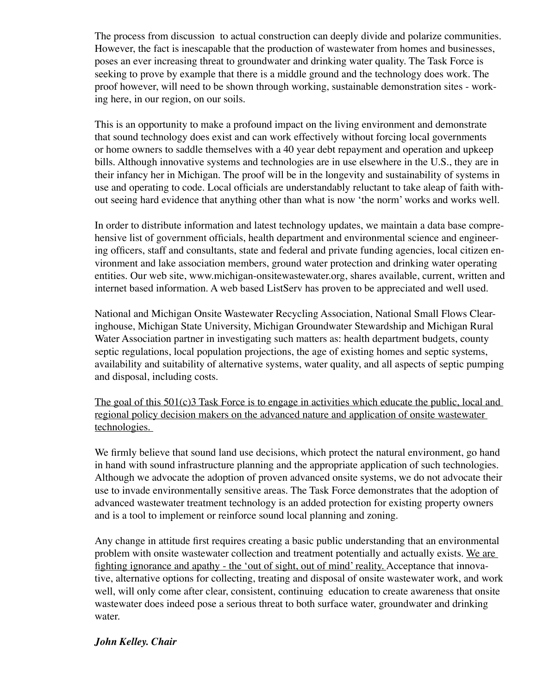The process from discussion to actual construction can deeply divide and polarize communities. However, the fact is inescapable that the production of wastewater from homes and businesses, poses an ever increasing threat to groundwater and drinking water quality. The Task Force is seeking to prove by example that there is a middle ground and the technology does work. The proof however, will need to be shown through working, sustainable demonstration sites - working here, in our region, on our soils.

This is an opportunity to make a profound impact on the living environment and demonstrate that sound technology does exist and can work effectively without forcing local governments or home owners to saddle themselves with a 40 year debt repayment and operation and upkeep bills. Although innovative systems and technologies are in use elsewhere in the U.S., they are in their infancy her in Michigan. The proof will be in the longevity and sustainability of systems in use and operating to code. Local officials are understandably reluctant to take aleap of faith without seeing hard evidence that anything other than what is now ʻthe norm' works and works well.

In order to distribute information and latest technology updates, we maintain a data base comprehensive list of government officials, health department and environmental science and engineering officers, staff and consultants, state and federal and private funding agencies, local citizen environment and lake association members, ground water protection and drinking water operating entities. Our web site, www.michigan-onsitewastewater.org, shares available, current, written and internet based information. A web based ListServ has proven to be appreciated and well used.

National and Michigan Onsite Wastewater Recycling Association, National Small Flows Clearinghouse, Michigan State University, Michigan Groundwater Stewardship and Michigan Rural Water Association partner in investigating such matters as: health department budgets, county septic regulations, local population projections, the age of existing homes and septic systems, availability and suitability of alternative systems, water quality, and all aspects of septic pumping and disposal, including costs.

The goal of this 501(c)3 Task Force is to engage in activities which educate the public, local and regional policy decision makers on the advanced nature and application of onsite wastewater technologies.

We firmly believe that sound land use decisions, which protect the natural environment, go hand in hand with sound infrastructure planning and the appropriate application of such technologies. Although we advocate the adoption of proven advanced onsite systems, we do not advocate their use to invade environmentally sensitive areas. The Task Force demonstrates that the adoption of advanced wastewater treatment technology is an added protection for existing property owners and is a tool to implement or reinforce sound local planning and zoning.

Any change in attitude first requires creating a basic public understanding that an environmental problem with onsite wastewater collection and treatment potentially and actually exists. We are fighting ignorance and apathy - the ʻout of sight, out of mind' reality. Acceptance that innovative, alternative options for collecting, treating and disposal of onsite wastewater work, and work well, will only come after clear, consistent, continuing education to create awareness that onsite wastewater does indeed pose a serious threat to both surface water, groundwater and drinking water.

#### *John Kelley. Chair*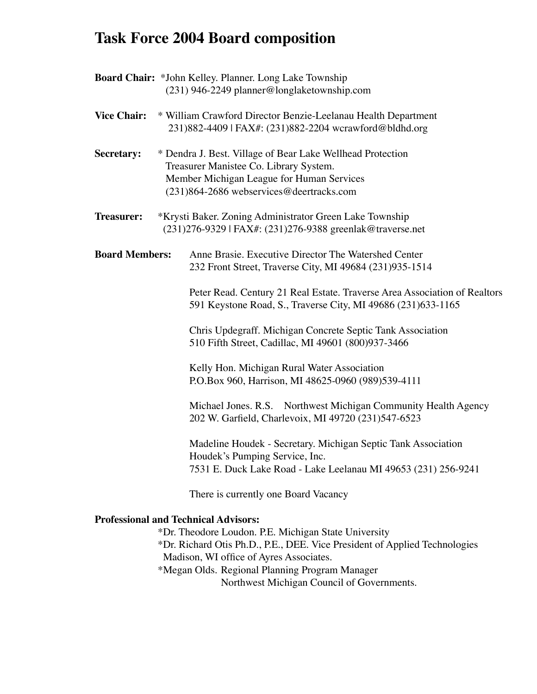## **Task Force 2004 Board composition**

| Board Chair: *John Kelley. Planner. Long Lake Township |  |                                                                                                                                                                                               |  |
|--------------------------------------------------------|--|-----------------------------------------------------------------------------------------------------------------------------------------------------------------------------------------------|--|
|                                                        |  | (231) 946-2249 planner@longlaketownship.com                                                                                                                                                   |  |
| <b>Vice Chair:</b>                                     |  | * William Crawford Director Benzie-Leelanau Health Department<br>231)882-4409   FAX#: (231)882-2204 wcrawford@bldhd.org                                                                       |  |
| Secretary:                                             |  | * Dendra J. Best. Village of Bear Lake Wellhead Protection<br>Treasurer Manistee Co. Library System.<br>Member Michigan League for Human Services<br>(231)864-2686 webservices@deertracks.com |  |
| <b>Treasurer:</b>                                      |  | *Krysti Baker. Zoning Administrator Green Lake Township<br>(231)276-9329   FAX#: (231)276-9388 greenlak@traverse.net                                                                          |  |
| <b>Board Members:</b>                                  |  | Anne Brasie. Executive Director The Watershed Center<br>232 Front Street, Traverse City, MI 49684 (231)935-1514                                                                               |  |
|                                                        |  | Peter Read. Century 21 Real Estate. Traverse Area Association of Realtors<br>591 Keystone Road, S., Traverse City, MI 49686 (231)633-1165                                                     |  |
|                                                        |  | Chris Updegraff. Michigan Concrete Septic Tank Association<br>510 Fifth Street, Cadillac, MI 49601 (800)937-3466                                                                              |  |
|                                                        |  | Kelly Hon. Michigan Rural Water Association<br>P.O.Box 960, Harrison, MI 48625-0960 (989)539-4111                                                                                             |  |
|                                                        |  | Michael Jones. R.S. Northwest Michigan Community Health Agency<br>202 W. Garfield, Charlevoix, MI 49720 (231)547-6523                                                                         |  |
|                                                        |  | Madeline Houdek - Secretary. Michigan Septic Tank Association<br>Houdek's Pumping Service, Inc.<br>7531 E. Duck Lake Road - Lake Leelanau MI 49653 (231) 256-9241                             |  |
|                                                        |  | There is currently one Board Vacancy                                                                                                                                                          |  |

#### **Professional and Technical Advisors:**

 \*Dr. Theodore Loudon. P.E. Michigan State University \*Dr. Richard Otis Ph.D., P.E., DEE. Vice President of Applied Technologies Madison, WI office of Ayres Associates. \*Megan Olds. Regional Planning Program Manager Northwest Michigan Council of Governments.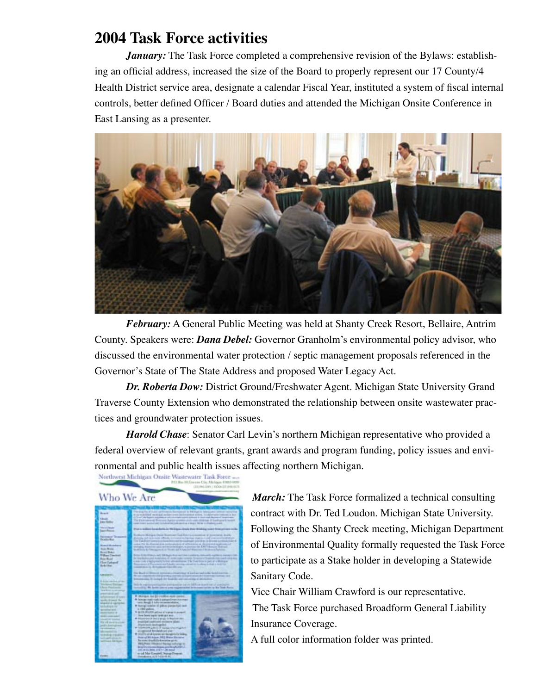### **2004 Task Force activities**

*January:* The Task Force completed a comprehensive revision of the Bylaws: establishing an official address, increased the size of the Board to properly represent our 17 County/4 Health District service area, designate a calendar Fiscal Year, instituted a system of fiscal internal controls, better defined Officer / Board duties and attended the Michigan Onsite Conference in East Lansing as a presenter.



 *February:* A General Public Meeting was held at Shanty Creek Resort, Bellaire, Antrim County. Speakers were: *Dana Debel:* Governor Granholm's environmental policy advisor, who discussed the environmental water protection / septic management proposals referenced in the Governor's State of The State Address and proposed Water Legacy Act.

*Dr. Roberta Dow:* District Ground/Freshwater Agent. Michigan State University Grand Traverse County Extension who demonstrated the relationship between onsite wastewater practices and groundwater protection issues.

*Harold Chase*: Senator Carl Levin's northern Michigan representative who provided a federal overview of relevant grants, grant awards and program funding, policy issues and environmental and public health issues affecting northern Michigan.<br>Network Michigan Orally Wastewater Tink Force and



*March:* The Task Force formalized a technical consulting contract with Dr. Ted Loudon. Michigan State University. Following the Shanty Creek meeting, Michigan Department of Environmental Quality formally requested the Task Force to participate as a Stake holder in developing a Statewide Sanitary Code.

Vice Chair William Crawford is our representative. The Task Force purchased Broadform General Liability Insurance Coverage.

A full color information folder was printed.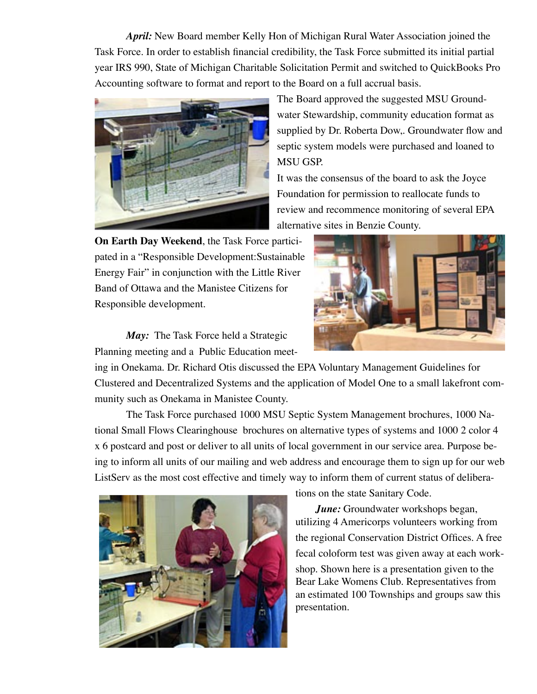*April:* New Board member Kelly Hon of Michigan Rural Water Association joined the Task Force. In order to establish financial credibility, the Task Force submitted its initial partial year IRS 990, State of Michigan Charitable Solicitation Permit and switched to QuickBooks Pro Accounting software to format and report to the Board on a full accrual basis.



The Board approved the suggested MSU Groundwater Stewardship, community education format as supplied by Dr. Roberta Dow,. Groundwater flow and septic system models were purchased and loaned to MSU GSP.

It was the consensus of the board to ask the Joyce Foundation for permission to reallocate funds to review and recommence monitoring of several EPA alternative sites in Benzie County.

**On Earth Day Weekend**, the Task Force participated in a "Responsible Development:Sustainable Energy Fair" in conjunction with the Little River Band of Ottawa and the Manistee Citizens for Responsible development.

*May:* The Task Force held a Strategic Planning meeting and a Public Education meet-



ing in Onekama. Dr. Richard Otis discussed the EPA Voluntary Management Guidelines for Clustered and Decentralized Systems and the application of Model One to a small lakefront community such as Onekama in Manistee County.

 The Task Force purchased 1000 MSU Septic System Management brochures, 1000 National Small Flows Clearinghouse brochures on alternative types of systems and 1000 2 color 4 x 6 postcard and post or deliver to all units of local government in our service area. Purpose being to inform all units of our mailing and web address and encourage them to sign up for our web ListServ as the most cost effective and timely way to inform them of current status of delibera-



tions on the state Sanitary Code.

*June:* Groundwater workshops began, utilizing 4 Americorps volunteers working from the regional Conservation District Offices. A free fecal coloform test was given away at each workshop. Shown here is a presentation given to the Bear Lake Womens Club. Representatives from an estimated 100 Townships and groups saw this presentation.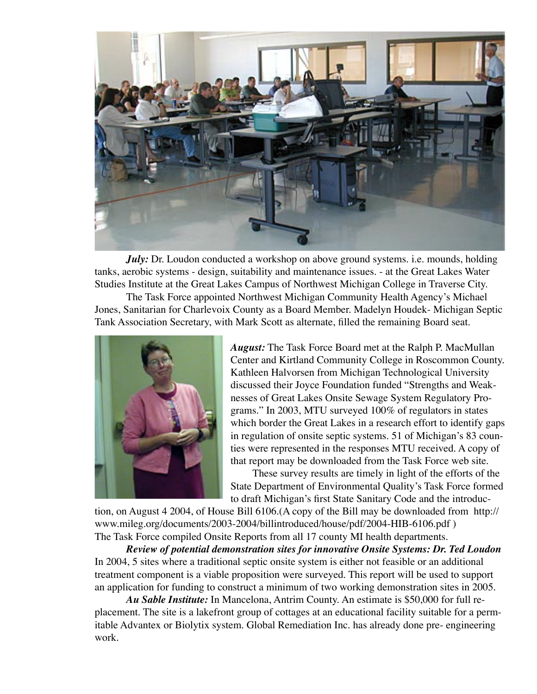

*July:* Dr. Loudon conducted a workshop on above ground systems. i.e. mounds, holding tanks, aerobic systems - design, suitability and maintenance issues. - at the Great Lakes Water Studies Institute at the Great Lakes Campus of Northwest Michigan College in Traverse City.

 The Task Force appointed Northwest Michigan Community Health Agency's Michael Jones, Sanitarian for Charlevoix County as a Board Member. Madelyn Houdek- Michigan Septic Tank Association Secretary, with Mark Scott as alternate, filled the remaining Board seat.



*August:* The Task Force Board met at the Ralph P. MacMullan Center and Kirtland Community College in Roscommon County. Kathleen Halvorsen from Michigan Technological University discussed their Joyce Foundation funded "Strengths and Weaknesses of Great Lakes Onsite Sewage System Regulatory Programs." In 2003, MTU surveyed 100% of regulators in states which border the Great Lakes in a research effort to identify gaps in regulation of onsite septic systems. 51 of Michigan's 83 counties were represented in the responses MTU received. A copy of that report may be downloaded from the Task Force web site.

 These survey results are timely in light of the efforts of the State Department of Environmental Quality's Task Force formed to draft Michigan's first State Sanitary Code and the introduc-

tion, on August 4 2004, of House Bill 6106.(A copy of the Bill may be downloaded from http:// www.mileg.org/documents/2003-2004/billintroduced/house/pdf/2004-HIB-6106.pdf ) The Task Force compiled Onsite Reports from all 17 county MI health departments.

*Review of potential demonstration sites for innovative Onsite Systems: Dr. Ted Loudon* In 2004, 5 sites where a traditional septic onsite system is either not feasible or an additional treatment component is a viable proposition were surveyed. This report will be used to support an application for funding to construct a minimum of two working demonstration sites in 2005.

*Au Sable Institute:* In Mancelona, Antrim County. An estimate is \$50,000 for full replacement. The site is a lakefront group of cottages at an educational facility suitable for a permitable Advantex or Biolytix system. Global Remediation Inc. has already done pre- engineering work.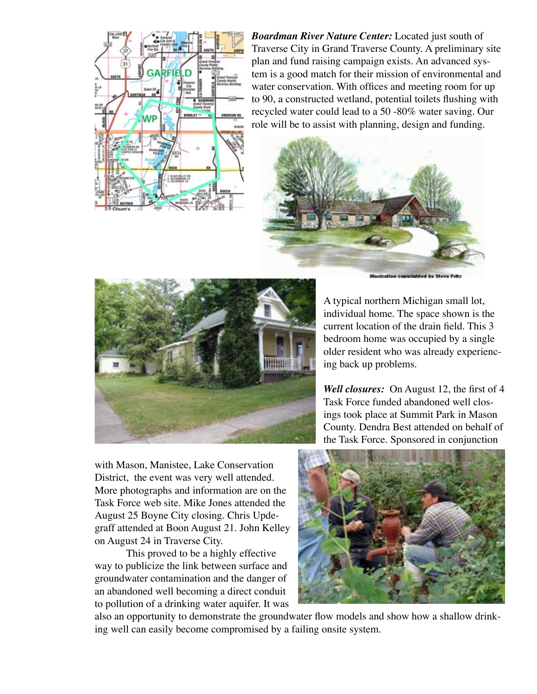

*Boardman River Nature Center:* Located just south of Traverse City in Grand Traverse County. A preliminary site plan and fund raising campaign exists. An advanced system is a good match for their mission of environmental and water conservation. With offices and meeting room for up to 90, a constructed wetland, potential toilets flushing with recycled water could lead to a 50 -80% water saving. Our role will be to assist with planning, design and funding.





A typical northern Michigan small lot, individual home. The space shown is the current location of the drain field. This 3 bedroom home was occupied by a single older resident who was already experiencing back up problems.

*Well closures:* On August 12, the first of 4 Task Force funded abandoned well closings took place at Summit Park in Mason County. Dendra Best attended on behalf of the Task Force. Sponsored in conjunction

with Mason, Manistee, Lake Conservation District, the event was very well attended. More photographs and information are on the Task Force web site. Mike Jones attended the August 25 Boyne City closing. Chris Updegraff attended at Boon August 21. John Kelley on August 24 in Traverse City.

 This proved to be a highly effective way to publicize the link between surface and groundwater contamination and the danger of an abandoned well becoming a direct conduit to pollution of a drinking water aquifer. It was



also an opportunity to demonstrate the groundwater flow models and show how a shallow drinking well can easily become compromised by a failing onsite system.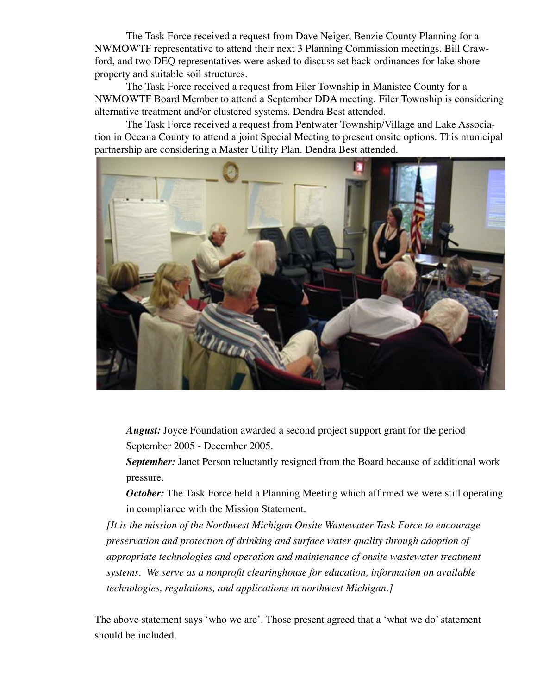The Task Force received a request from Dave Neiger, Benzie County Planning for a NWMOWTF representative to attend their next 3 Planning Commission meetings. Bill Crawford, and two DEQ representatives were asked to discuss set back ordinances for lake shore property and suitable soil structures.

 The Task Force received a request from Filer Township in Manistee County for a NWMOWTF Board Member to attend a September DDA meeting. Filer Township is considering alternative treatment and/or clustered systems. Dendra Best attended.

 The Task Force received a request from Pentwater Township/Village and Lake Association in Oceana County to attend a joint Special Meeting to present onsite options. This municipal partnership are considering a Master Utility Plan. Dendra Best attended.



 *August:* Joyce Foundation awarded a second project support grant for the period September 2005 - December 2005.

 *September:* Janet Person reluctantly resigned from the Board because of additional work pressure.

*October:* The Task Force held a Planning Meeting which affirmed we were still operating in compliance with the Mission Statement.

*[It is the mission of the Northwest Michigan Onsite Wastewater Task Force to encourage preservation and protection of drinking and surface water quality through adoption of appropriate technologies and operation and maintenance of onsite wastewater treatment systems. We serve as a nonprofit clearinghouse for education, information on available technologies, regulations, and applications in northwest Michigan.]*

The above statement says ʻwho we are'. Those present agreed that a ʻwhat we do' statement should be included.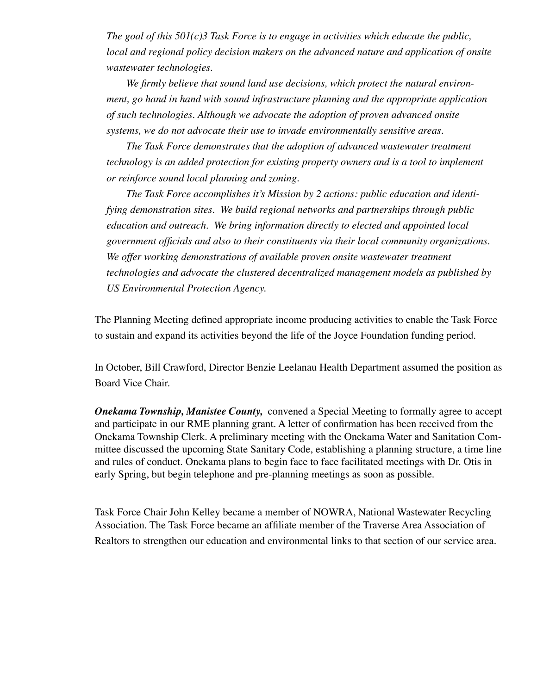*The goal of this 501(c)3 Task Force is to engage in activities which educate the public, local and regional policy decision makers on the advanced nature and application of onsite wastewater technologies.* 

 *We firmly believe that sound land use decisions, which protect the natural environment, go hand in hand with sound infrastructure planning and the appropriate application of such technologies. Although we advocate the adoption of proven advanced onsite systems, we do not advocate their use to invade environmentally sensitive areas.* 

 *The Task Force demonstrates that the adoption of advanced wastewater treatment technology is an added protection for existing property owners and is a tool to implement or reinforce sound local planning and zoning.* 

 *The Task Force accomplishes it's Mission by 2 actions: public education and identifying demonstration sites. We build regional networks and partnerships through public education and outreach. We bring information directly to elected and appointed local government officials and also to their constituents via their local community organizations.*  We offer working demonstrations of available proven onsite wastewater treatment *technologies and advocate the clustered decentralized management models as published by US Environmental Protection Agency.*

The Planning Meeting defined appropriate income producing activities to enable the Task Force to sustain and expand its activities beyond the life of the Joyce Foundation funding period.

In October, Bill Crawford, Director Benzie Leelanau Health Department assumed the position as Board Vice Chair.

*Onekama Township, Manistee County,* convened a Special Meeting to formally agree to accept and participate in our RME planning grant. A letter of confirmation has been received from the Onekama Township Clerk. A preliminary meeting with the Onekama Water and Sanitation Committee discussed the upcoming State Sanitary Code, establishing a planning structure, a time line and rules of conduct. Onekama plans to begin face to face facilitated meetings with Dr. Otis in early Spring, but begin telephone and pre-planning meetings as soon as possible.

Task Force Chair John Kelley became a member of NOWRA, National Wastewater Recycling Association. The Task Force became an affiliate member of the Traverse Area Association of Realtors to strengthen our education and environmental links to that section of our service area.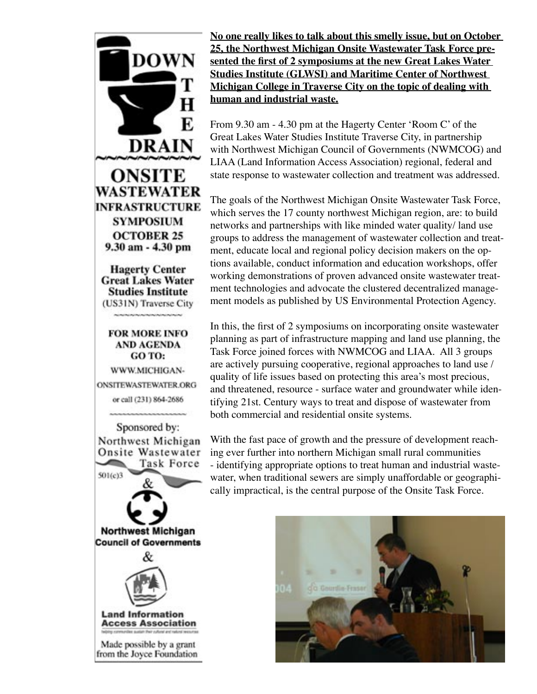

**No one really likes to talk about this smelly issue, but on October 25, the Northwest Michigan Onsite Wastewater Task Force presented the first of 2 symposiums at the new Great Lakes Water Studies Institute (GLWSI) and Maritime Center of Northwest Michigan College in Traverse City on the topic of dealing with human and industrial waste.**

From 9.30 am - 4.30 pm at the Hagerty Center ʻRoom C' of the Great Lakes Water Studies Institute Traverse City, in partnership with Northwest Michigan Council of Governments (NWMCOG) and LIAA (Land Information Access Association) regional, federal and state response to wastewater collection and treatment was addressed.

The goals of the Northwest Michigan Onsite Wastewater Task Force, which serves the 17 county northwest Michigan region, are: to build networks and partnerships with like minded water quality/ land use groups to address the management of wastewater collection and treatment, educate local and regional policy decision makers on the options available, conduct information and education workshops, offer working demonstrations of proven advanced onsite wastewater treatment technologies and advocate the clustered decentralized management models as published by US Environmental Protection Agency.

In this, the first of 2 symposiums on incorporating onsite wastewater planning as part of infrastructure mapping and land use planning, the Task Force joined forces with NWMCOG and LIAA. All 3 groups are actively pursuing cooperative, regional approaches to land use / quality of life issues based on protecting this area's most precious, and threatened, resource - surface water and groundwater while identifying 21st. Century ways to treat and dispose of wastewater from both commercial and residential onsite systems.

With the fast pace of growth and the pressure of development reaching ever further into northern Michigan small rural communities - identifying appropriate options to treat human and industrial wastewater, when traditional sewers are simply unaffordable or geographically impractical, is the central purpose of the Onsite Task Force.

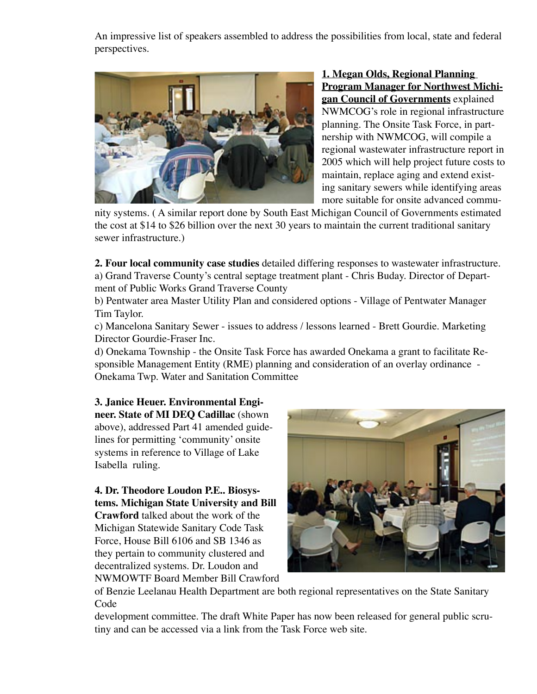An impressive list of speakers assembled to address the possibilities from local, state and federal perspectives.



**1. Megan Olds, Regional Planning Program Manager for Northwest Michigan Council of Governments** explained NWMCOG's role in regional infrastructure planning. The Onsite Task Force, in partnership with NWMCOG, will compile a regional wastewater infrastructure report in 2005 which will help project future costs to maintain, replace aging and extend existing sanitary sewers while identifying areas more suitable for onsite advanced commu-

nity systems. ( A similar report done by South East Michigan Council of Governments estimated the cost at \$14 to \$26 billion over the next 30 years to maintain the current traditional sanitary sewer infrastructure.)

**2. Four local community case studies** detailed differing responses to wastewater infrastructure. a) Grand Traverse County's central septage treatment plant - Chris Buday. Director of Department of Public Works Grand Traverse County

b) Pentwater area Master Utility Plan and considered options - Village of Pentwater Manager Tim Taylor.

c) Mancelona Sanitary Sewer - issues to address / lessons learned - Brett Gourdie. Marketing Director Gourdie-Fraser Inc.

d) Onekama Township - the Onsite Task Force has awarded Onekama a grant to facilitate Responsible Management Entity (RME) planning and consideration of an overlay ordinance - Onekama Twp. Water and Sanitation Committee

#### **3. Janice Heuer. Environmental Engi-**

**neer. State of MI DEQ Cadillac** (shown above), addressed Part 41 amended guidelines for permitting ʻcommunity' onsite systems in reference to Village of Lake Isabella ruling.

#### **4. Dr. Theodore Loudon P.E.. Biosystems. Michigan State University and Bill Crawford** talked about the work of the Michigan Statewide Sanitary Code Task

Force, House Bill 6106 and SB 1346 as they pertain to community clustered and decentralized systems. Dr. Loudon and NWMOWTF Board Member Bill Crawford



of Benzie Leelanau Health Department are both regional representatives on the State Sanitary Code

development committee. The draft White Paper has now been released for general public scrutiny and can be accessed via a link from the Task Force web site.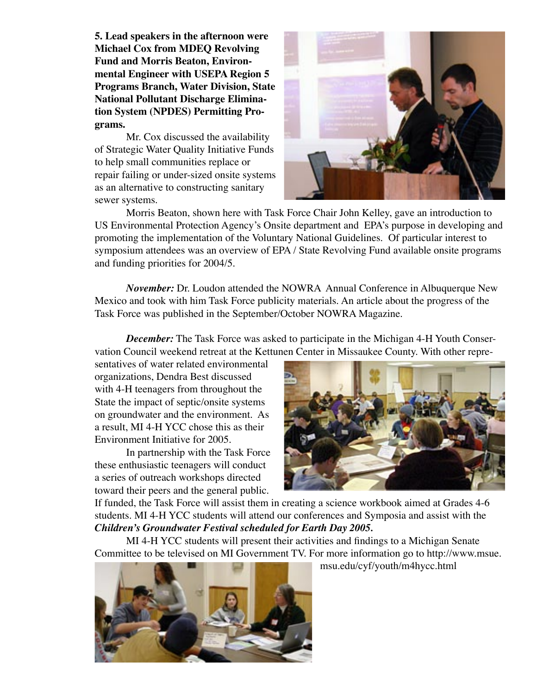**5. Lead speakers in the afternoon were Michael Cox from MDEQ Revolving Fund and Morris Beaton, Environmental Engineer with USEPA Region 5 Programs Branch, Water Division, State National Pollutant Discharge Elimination System (NPDES) Permitting Programs.** 

 Mr. Cox discussed the availability of Strategic Water Quality Initiative Funds to help small communities replace or repair failing or under-sized onsite systems as an alternative to constructing sanitary sewer systems.



 Morris Beaton, shown here with Task Force Chair John Kelley, gave an introduction to US Environmental Protection Agency's Onsite department and EPA's purpose in developing and promoting the implementation of the Voluntary National Guidelines. Of particular interest to symposium attendees was an overview of EPA / State Revolving Fund available onsite programs and funding priorities for 2004/5.

 *November:* Dr. Loudon attended the NOWRA Annual Conference in Albuquerque New Mexico and took with him Task Force publicity materials. An article about the progress of the Task Force was published in the September/October NOWRA Magazine.

*December:* The Task Force was asked to participate in the Michigan 4-H Youth Conservation Council weekend retreat at the Kettunen Center in Missaukee County. With other repre-

sentatives of water related environmental organizations, Dendra Best discussed with 4-H teenagers from throughout the State the impact of septic/onsite systems on groundwater and the environment. As a result, MI 4-H YCC chose this as their Environment Initiative for 2005.

 In partnership with the Task Force these enthusiastic teenagers will conduct a series of outreach workshops directed toward their peers and the general public.



If funded, the Task Force will assist them in creating a science workbook aimed at Grades 4-6 students. MI 4-H YCC students will attend our conferences and Symposia and assist with the *Children's Groundwater Festival scheduled for Earth Day 2005.*

 MI 4-H YCC students will present their activities and findings to a Michigan Senate Committee to be televised on MI Government TV. For more information go to http://www.msue.



msu.edu/cyf/youth/m4hycc.html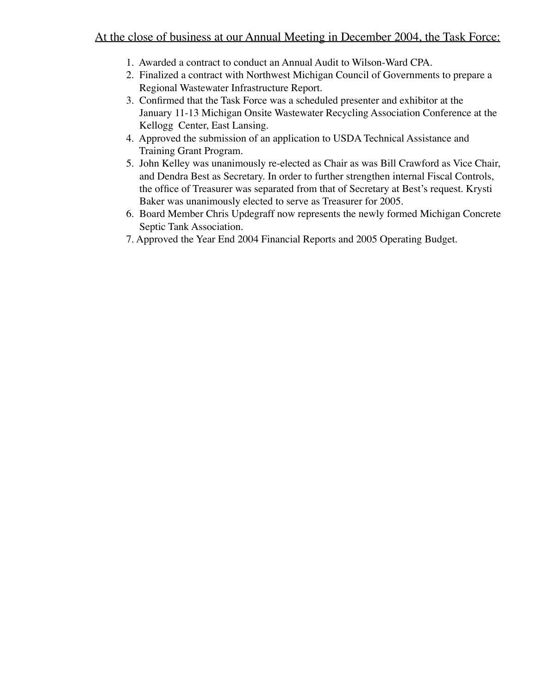#### At the close of business at our Annual Meeting in December 2004, the Task Force:

- 1. Awarded a contract to conduct an Annual Audit to Wilson-Ward CPA.
- 2. Finalized a contract with Northwest Michigan Council of Governments to prepare a Regional Wastewater Infrastructure Report.
- 3. Confirmed that the Task Force was a scheduled presenter and exhibitor at the January 11-13 Michigan Onsite Wastewater Recycling Association Conference at the Kellogg Center, East Lansing.
- 4. Approved the submission of an application to USDA Technical Assistance and Training Grant Program.
- 5. John Kelley was unanimously re-elected as Chair as was Bill Crawford as Vice Chair, and Dendra Best as Secretary. In order to further strengthen internal Fiscal Controls, the office of Treasurer was separated from that of Secretary at Best's request. Krysti Baker was unanimously elected to serve as Treasurer for 2005.
- 6. Board Member Chris Updegraff now represents the newly formed Michigan Concrete Septic Tank Association.
- 7. Approved the Year End 2004 Financial Reports and 2005 Operating Budget.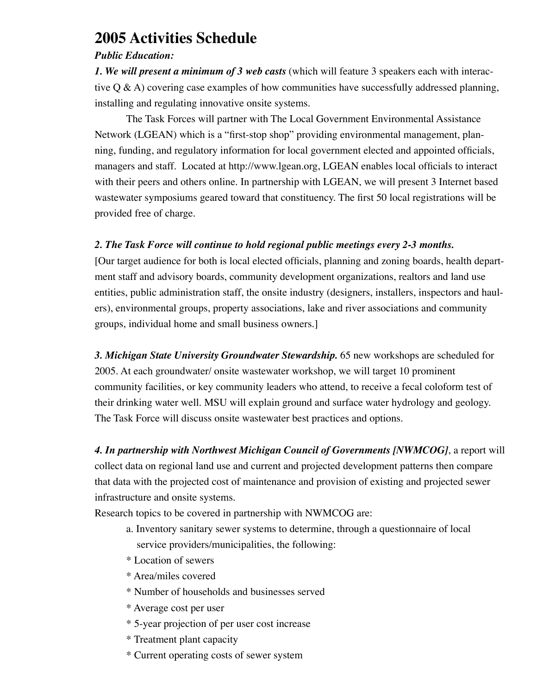### **2005 Activities Schedule**

#### *Public Education:*

*1. We will present a minimum of 3 web casts* (which will feature 3 speakers each with interactive  $Q \& A$ ) covering case examples of how communities have successfully addressed planning, installing and regulating innovative onsite systems.

 The Task Forces will partner with The Local Government Environmental Assistance Network (LGEAN) which is a "first-stop shop" providing environmental management, planning, funding, and regulatory information for local government elected and appointed officials, managers and staff. Located at http://www.lgean.org, LGEAN enables local officials to interact with their peers and others online. In partnership with LGEAN, we will present 3 Internet based wastewater symposiums geared toward that constituency. The first 50 local registrations will be provided free of charge.

#### *2. The Task Force will continue to hold regional public meetings every 2-3 months.*

[Our target audience for both is local elected officials, planning and zoning boards, health department staff and advisory boards, community development organizations, realtors and land use entities, public administration staff, the onsite industry (designers, installers, inspectors and haulers), environmental groups, property associations, lake and river associations and community groups, individual home and small business owners.]

*3. Michigan State University Groundwater Stewardship.* 65 new workshops are scheduled for 2005. At each groundwater/ onsite wastewater workshop, we will target 10 prominent community facilities, or key community leaders who attend, to receive a fecal coloform test of their drinking water well. MSU will explain ground and surface water hydrology and geology. The Task Force will discuss onsite wastewater best practices and options.

*4. In partnership with Northwest Michigan Council of Governments [NWMCOG]*, a report will collect data on regional land use and current and projected development patterns then compare that data with the projected cost of maintenance and provision of existing and projected sewer infrastructure and onsite systems.

Research topics to be covered in partnership with NWMCOG are:

- a. Inventory sanitary sewer systems to determine, through a questionnaire of local service providers/municipalities, the following:
- \* Location of sewers
- \* Area/miles covered
- \* Number of households and businesses served
- \* Average cost per user
- \* 5-year projection of per user cost increase
- \* Treatment plant capacity
- \* Current operating costs of sewer system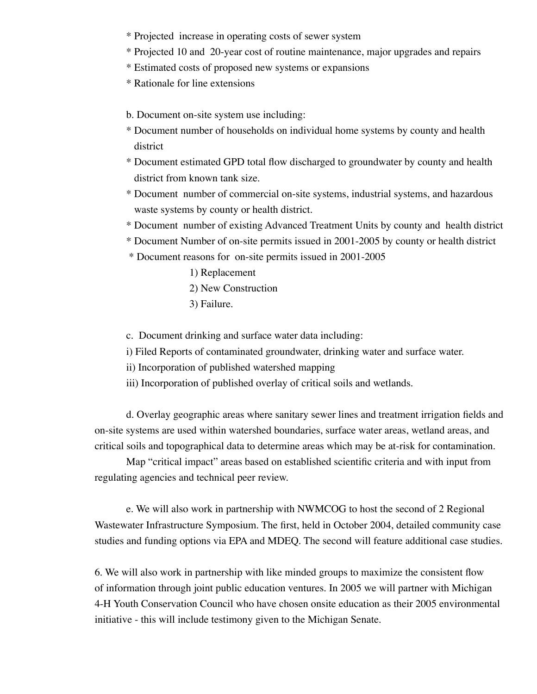- \* Projected increase in operating costs of sewer system
- \* Projected 10 and 20-year cost of routine maintenance, major upgrades and repairs
- \* Estimated costs of proposed new systems or expansions
- \* Rationale for line extensions
- b. Document on-site system use including:
- \* Document number of households on individual home systems by county and health district
- \* Document estimated GPD total flow discharged to groundwater by county and health district from known tank size.
- \* Document number of commercial on-site systems, industrial systems, and hazardous waste systems by county or health district.
- \* Document number of existing Advanced Treatment Units by county and health district
- \* Document Number of on-site permits issued in 2001-2005 by county or health district
- \* Document reasons for on-site permits issued in 2001-2005
	- 1) Replacement 2) New Construction
	- 3) Failure.

c. Document drinking and surface water data including:

- i) Filed Reports of contaminated groundwater, drinking water and surface water.
- ii) Incorporation of published watershed mapping
- iii) Incorporation of published overlay of critical soils and wetlands.

 d. Overlay geographic areas where sanitary sewer lines and treatment irrigation fields and on-site systems are used within watershed boundaries, surface water areas, wetland areas, and critical soils and topographical data to determine areas which may be at-risk for contamination.

 Map "critical impact" areas based on established scientific criteria and with input from regulating agencies and technical peer review.

 e. We will also work in partnership with NWMCOG to host the second of 2 Regional Wastewater Infrastructure Symposium. The first, held in October 2004, detailed community case studies and funding options via EPA and MDEQ. The second will feature additional case studies.

6. We will also work in partnership with like minded groups to maximize the consistent flow of information through joint public education ventures. In 2005 we will partner with Michigan 4-H Youth Conservation Council who have chosen onsite education as their 2005 environmental initiative - this will include testimony given to the Michigan Senate.